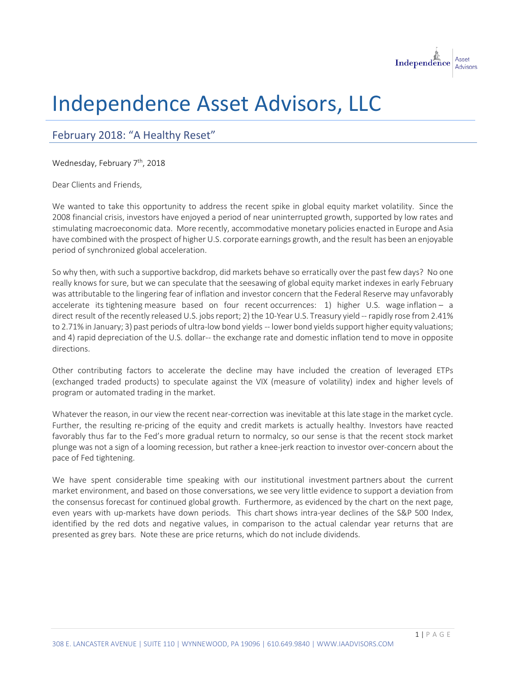

## Independence Asset Advisors, LLC

## February 2018: "A Healthy Reset"

Wednesday, February 7<sup>th</sup>, 2018

Dear Clients and Friends,

We wanted to take this opportunity to address the recent spike in global equity market volatility. Since the 2008 financial crisis, investors have enjoyed a period of near uninterrupted growth, supported by low rates and stimulating macroeconomic data. More recently, accommodative monetary policies enacted in Europe and Asia have combined with the prospect of higher U.S. corporate earnings growth, and the result has been an enjoyable period of synchronized global acceleration.

So why then, with such a supportive backdrop, did markets behave so erratically over the past few days? No one really knows for sure, but we can speculate that the seesawing of global equity market indexes in early February was attributable to the lingering fear of inflation and investor concern that the Federal Reserve may unfavorably accelerate its tightening measure based on four recent occurrences: 1) higher U.S. wage inflation – a direct result of the recently released U.S. jobs report; 2) the 10-Year U.S. Treasury yield -- rapidly rose from 2.41% to 2.71% in January; 3) past periods of ultra-low bond yields -- lower bond yields support higher equity valuations; and 4) rapid depreciation of the U.S. dollar-- the exchange rate and domestic inflation tend to move in opposite directions.

Other contributing factors to accelerate the decline may have included the creation of leveraged ETPs (exchanged traded products) to speculate against the VIX (measure of volatility) index and higher levels of program or automated trading in the market.

Whatever the reason, in our view the recent near-correction was inevitable at this late stage in the market cycle. Further, the resulting re-pricing of the equity and credit markets is actually healthy. Investors have reacted favorably thus far to the Fed's more gradual return to normalcy, so our sense is that the recent stock market plunge was not a sign of a looming recession, but rather a knee-jerk reaction to investor over-concern about the pace of Fed tightening.

We have spent considerable time speaking with our institutional investment partners about the current market environment, and based on those conversations, we see very little evidence to support a deviation from the consensus forecast for continued global growth. Furthermore, as evidenced by the chart on the next page, even years with up-markets have down periods. This chart shows intra-year declines of the S&P 500 Index, identified by the red dots and negative values, in comparison to the actual calendar year returns that are presented as grey bars. Note these are price returns, which do not include dividends.